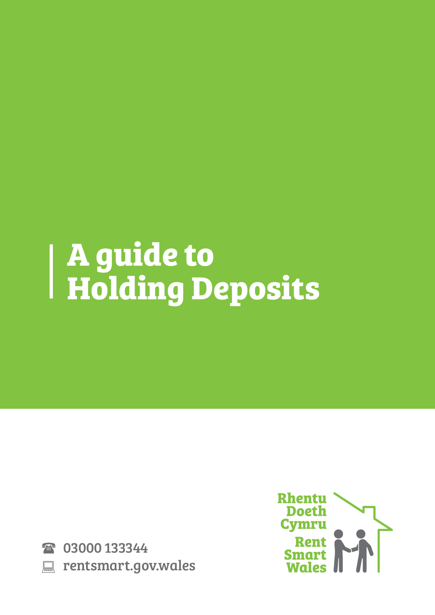# **A guide to Holding Deposits**

2 03000 133344 **EXECUTE: PROPRIATE: PROPRIATE: EXECUTE** 

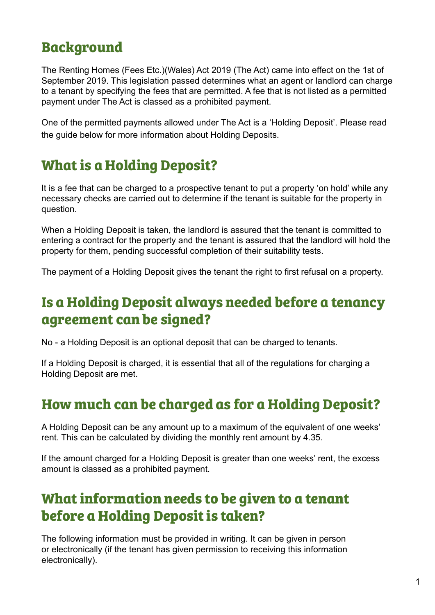# **Background**

The Renting Homes (Fees Etc.)(Wales) Act 2019 (The Act) came into effect on the 1st of September 2019. This legislation passed determines what an agent or landlord can charge to a tenant by specifying the fees that are permitted. A fee that is not listed as a permitted payment under The Act is classed as a prohibited payment.

One of the permitted payments allowed under The Act is a 'Holding Deposit'. Please read the guide below for more information about Holding Deposits.

# **What is a Holding Deposit?**

It is a fee that can be charged to a prospective tenant to put a property 'on hold' while any necessary checks are carried out to determine if the tenant is suitable for the property in question.

When a Holding Deposit is taken, the landlord is assured that the tenant is committed to entering a contract for the property and the tenant is assured that the landlord will hold the property for them, pending successful completion of their suitability tests.

The payment of a Holding Deposit gives the tenant the right to first refusal on a property.

#### **Is a Holding Deposit always needed before a tenancy agreement can be signed?**

No - a Holding Deposit is an optional deposit that can be charged to tenants.

If a Holding Deposit is charged, it is essential that all of the regulations for charging a Holding Deposit are met.

#### **How much can be charged as for a Holding Deposit?**

A Holding Deposit can be any amount up to a maximum of the equivalent of one weeks' rent. This can be calculated by dividing the monthly rent amount by 4.35.

If the amount charged for a Holding Deposit is greater than one weeks' rent, the excess amount is classed as a prohibited payment.

# **What information needs to be given to a tenant before a Holding Deposit is taken?**

The following information must be provided in writing. It can be given in person or electronically (if the tenant has given permission to receiving this information electronically).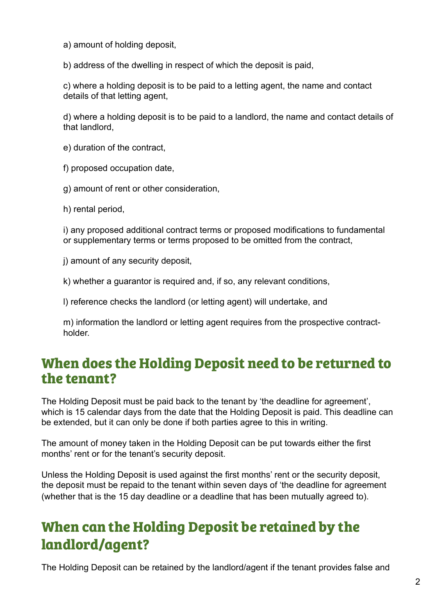a) amount of holding deposit,

b) address of the dwelling in respect of which the deposit is paid,

c) where a holding deposit is to be paid to a letting agent, the name and contact details of that letting agent,

d) where a holding deposit is to be paid to a landlord, the name and contact details of that landlord,

e) duration of the contract,

f) proposed occupation date,

g) amount of rent or other consideration,

h) rental period,

i) any proposed additional contract terms or proposed modifications to fundamental or supplementary terms or terms proposed to be omitted from the contract,

j) amount of any security deposit,

k) whether a guarantor is required and, if so, any relevant conditions,

l) reference checks the landlord (or letting agent) will undertake, and

m) information the landlord or letting agent requires from the prospective contractholder.

#### **When does the Holding Deposit need to be returned to the tenant?**

The Holding Deposit must be paid back to the tenant by 'the deadline for agreement', which is 15 calendar days from the date that the Holding Deposit is paid. This deadline can be extended, but it can only be done if both parties agree to this in writing.

The amount of money taken in the Holding Deposit can be put towards either the first months' rent or for the tenant's security deposit.

Unless the Holding Deposit is used against the first months' rent or the security deposit, the deposit must be repaid to the tenant within seven days of 'the deadline for agreement (whether that is the 15 day deadline or a deadline that has been mutually agreed to).

# **When can the Holding Deposit be retained by the landlord/agent?**

The Holding Deposit can be retained by the landlord/agent if the tenant provides false and